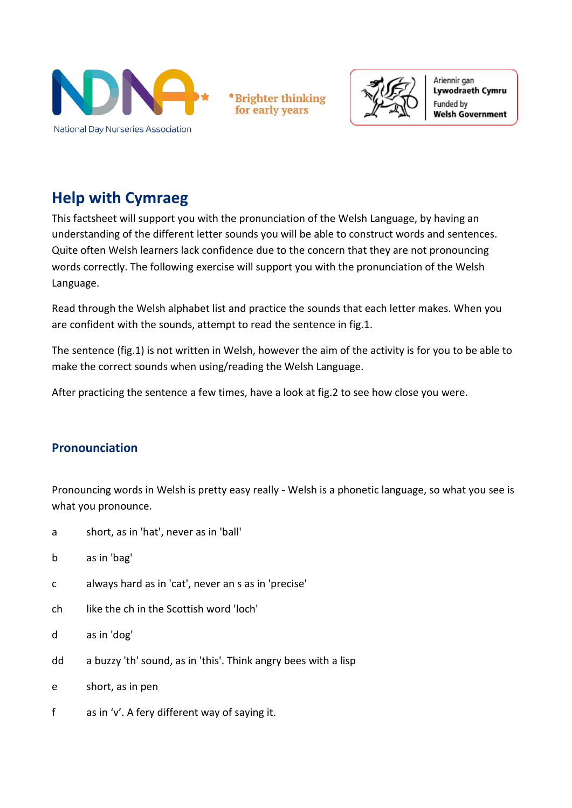

**Brighter thinking** for early years



Ariennir gan Lywodraeth Cymru Funded by **Welsh Government** 

# **Help with Cymraeg**

This factsheet will support you with the pronunciation of the Welsh Language, by having an understanding of the different letter sounds you will be able to construct words and sentences. Quite often Welsh learners lack confidence due to the concern that they are not pronouncing words correctly. The following exercise will support you with the pronunciation of the Welsh Language.

Read through the Welsh alphabet list and practice the sounds that each letter makes. When you are confident with the sounds, attempt to read the sentence in fig.1.

The sentence (fig.1) is not written in Welsh, however the aim of the activity is for you to be able to make the correct sounds when using/reading the Welsh Language.

After practicing the sentence a few times, have a look at fig.2 to see how close you were.

## **Pronounciation**

Pronouncing words in Welsh is pretty easy really - Welsh is a phonetic language, so what you see is what you pronounce.

- a short, as in 'hat', never as in 'ball'
- b as in 'bag'
- c always hard as in 'cat', never an s as in 'precise'
- ch like the ch in the Scottish word 'loch'
- d as in 'dog'
- dd a buzzy 'th' sound, as in 'this'. Think angry bees with a lisp
- e short, as in pen
- f as in 'v'. A fery different way of saying it.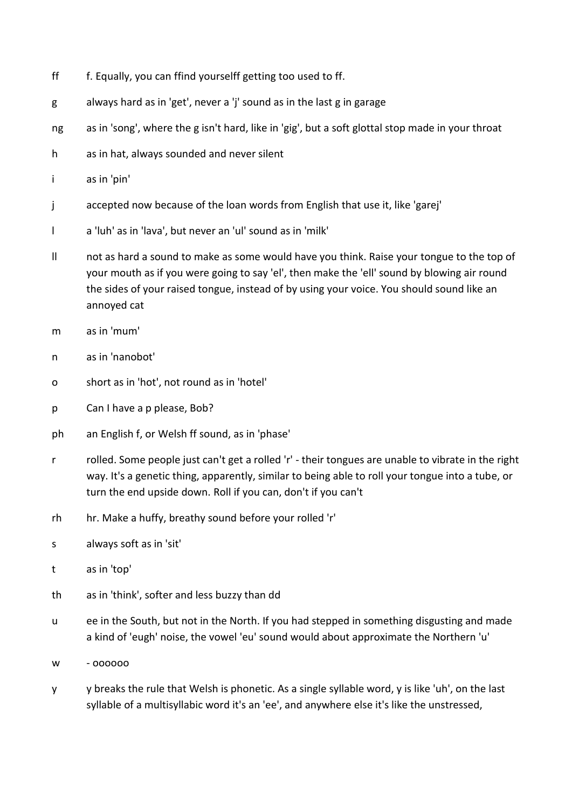- ff f. Equally, you can ffind yourselff getting too used to ff.
- g always hard as in 'get', never a 'j' sound as in the last g in garage
- ng as in 'song', where the g isn't hard, like in 'gig', but a soft glottal stop made in your throat
- h as in hat, always sounded and never silent
- i as in 'pin'
- j accepted now because of the loan words from English that use it, like 'garej'
- l a 'luh' as in 'lava', but never an 'ul' sound as in 'milk'
- ll not as hard a sound to make as some would have you think. Raise your tongue to the top of your mouth as if you were going to say 'el', then make the 'ell' sound by blowing air round the sides of your raised tongue, instead of by using your voice. You should sound like an annoyed cat
- m as in 'mum'
- n as in 'nanobot'
- o short as in 'hot', not round as in 'hotel'
- p Can I have a p please, Bob?
- ph an English f, or Welsh ff sound, as in 'phase'
- r rolled. Some people just can't get a rolled 'r' their tongues are unable to vibrate in the right way. It's a genetic thing, apparently, similar to being able to roll your tongue into a tube, or turn the end upside down. Roll if you can, don't if you can't
- rh hr. Make a huffy, breathy sound before your rolled 'r'
- s always soft as in 'sit'
- t as in 'top'
- th as in 'think', softer and less buzzy than dd
- u ee in the South, but not in the North. If you had stepped in something disgusting and made a kind of 'eugh' noise, the vowel 'eu' sound would about approximate the Northern 'u'
- w oooooo
- y y breaks the rule that Welsh is phonetic. As a single syllable word, y is like 'uh', on the last syllable of a multisyllabic word it's an 'ee', and anywhere else it's like the unstressed,